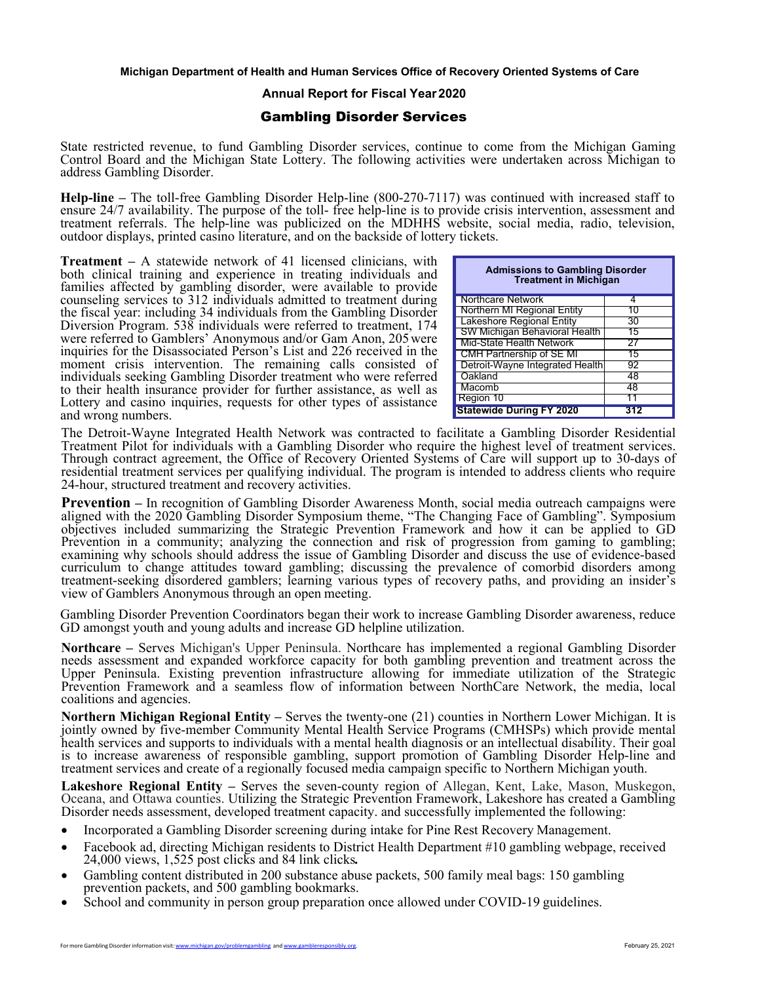## **Michigan Department of Health and Human Services Office of Recovery Oriented Systems of Care**

## **Annual Report for Fiscal Year 2020**

## Gambling Disorder Services

State restricted revenue, to fund Gambling Disorder services, continue to come from the Michigan Gaming Control Board and the Michigan State Lottery. The following activities were undertaken across Michigan to address Gambling Disorder.

**Help-line –** The toll-free Gambling Disorder Help-line (800-270-7117) was continued with increased staff to ensure 24/7 availability. The purpose of the toll- free help-line is to provide crisis intervention, assessment and treatment referrals. The help-line was publicized on the MDHHS website, social media, radio, television, outdoor displays, printed casino literature, and on the backside of lottery tickets.

**Treatment –** A statewide network of 41 licensed clinicians, with both clinical training and experience in treating individuals and families affected by gambling disorder, were available to provide counseling services to 312 individuals admitted to treatment during the fiscal year: including 34 individuals from the Gambling Disorder Diversion Program. 538 individuals were referred to treatment, 174 were referred to Gamblers' Anonymous and/or Gam Anon, 205 were inquiries for the Disassociated Person's List and 226 received in the moment crisis intervention. The remaining calls consisted of individuals seeking Gambling Disorder treatment who were referred to their health insurance provider for further assistance, as well as Lottery and casino inquiries, requests for other types of assistance and wrong numbers.

| <b>Admissions to Gambling Disorder</b><br><b>Treatment in Michigan</b> |     |
|------------------------------------------------------------------------|-----|
| <b>Northcare Network</b>                                               | Δ   |
| Northern MI Regional Entity                                            |     |
| <b>Lakeshore Regional Entity</b>                                       | 30  |
| SW Michigan Behavioral Health                                          | 15  |
| Mid-State Health Network                                               | 27  |
| <b>CMH Partnership of SE MI</b>                                        | 15  |
| Detroit-Wayne Integrated Health                                        | 92  |
| Oakland                                                                | 48  |
| Macomb                                                                 | 48  |
| Region 10                                                              | 11  |
| <b>Statewide During FY 2020</b>                                        | 312 |

The Detroit-Wayne Integrated Health Network was contracted to facilitate a Gambling Disorder Residential Treatment Pilot for individuals with a Gambling Disorder who require the highest level of treatment services. Through contract agreement, the Office of Recovery Oriented Systems of Care will support up to 30-days of residential treatment services per qualifying individual. The program is intended to address clients who require 24-hour, structured treatment and recovery activities.

**Prevention –** In recognition of Gambling Disorder Awareness Month, social media outreach campaigns were aligned with the 2020 Gambling Disorder Symposium theme, "The Changing Face of Gambling". Symposium objectives included summarizing the Strategic Prevention Framework and how it can be applied to GD Prevention in a community; analyzing the connection and risk of progression from gaming to gambling; examining why schools should address the issue of Gambling Disorder and discuss the use of evidence-based curriculum to change attitudes toward gambling; discussing the prevalence of comorbid disorders among treatment-seeking disordered gamblers; learning various types of recovery paths, and providing an insider's view of Gamblers Anonymous through an open meeting.

Gambling Disorder Prevention Coordinators began their work to increase Gambling Disorder awareness, reduce GD amongst youth and young adults and increase GD helpline utilization.

**Northcare –** Serves Michigan's Upper Peninsula. Northcare has implemented a regional Gambling Disorder needs assessment and expanded workforce capacity for both gambling prevention and treatment across the Upper Peninsula. Existing prevention infrastructure allowing for immediate utilization of the Strategic Prevention Framework and a seamless flow of information between NorthCare Network, the media, local coalitions and agencies.

**Northern Michigan Regional Entity –** Serves the twenty-one (21) counties in Northern Lower Michigan. It is jointly owned by five-member Community Mental Health Service Programs (CMHSPs) which provide mental health services and supports to individuals with a mental health diagnosis or an intellectual disability. Their goal is to increase awareness of responsible gambling, support promotion of Gambling Disorder Help-line and treatment services and create of a regionally focused media campaign specific to Northern Michigan youth.

**Lakeshore Regional Entity –** Serves the seven-county region of Allegan, Kent, Lake, Mason, Muskegon, Oceana, and Ottawa counties. Utilizing the Strategic Prevention Framework, Lakeshore has created a Gambling Disorder needs assessment, developed treatment capacity. and successfully implemented the following:

- Incorporated a Gambling Disorder screening during intake for Pine Rest Recovery Management.
- Facebook ad, directing Michigan residents to District Health Department #10 gambling webpage, received 24,000 views, 1,525 post clicks and 84 link clicks*.*
- Gambling content distributed in 200 substance abuse packets, 500 family meal bags: 150 gambling prevention packets, and 500 gambling bookmarks.
- School and community in person group preparation once allowed under COVID-19 guidelines.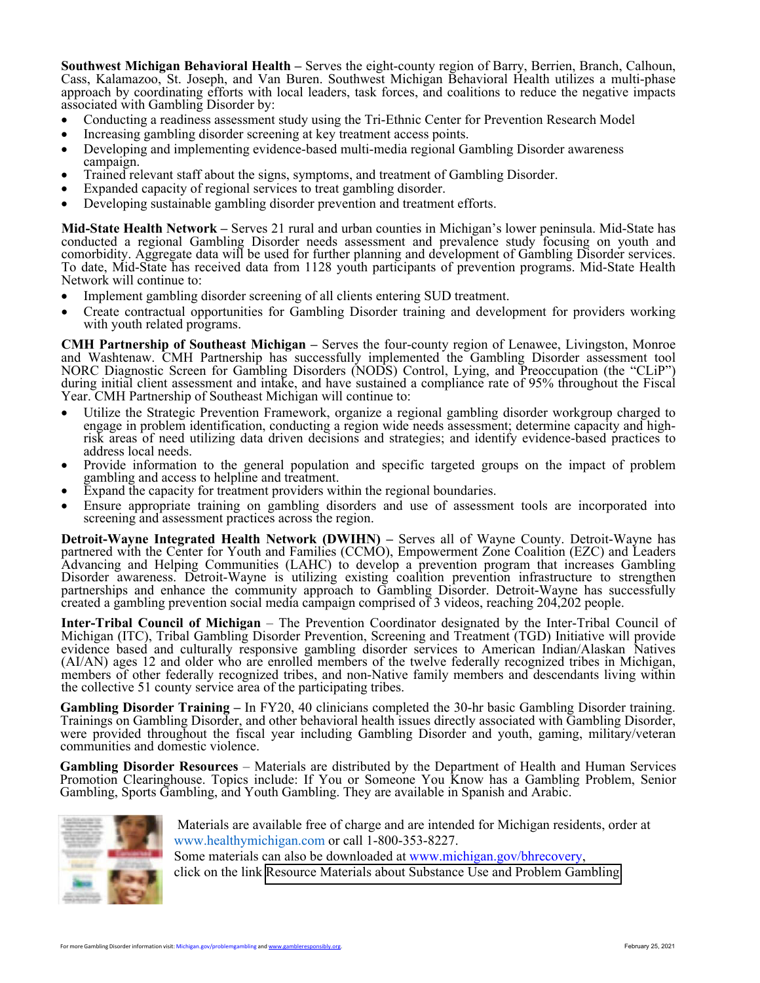**Southwest Michigan Behavioral Health –** Serves the eight-county region of Barry, Berrien, Branch, Calhoun, Cass, Kalamazoo, St. Joseph, and Van Buren. Southwest Michigan Behavioral Health utilizes a multi-phase approach by coordinating efforts with local leaders, task forces, and coalitions to reduce the negative impacts associated with Gambling Disorder by:

- Conducting a readiness assessment study using the Tri-Ethnic Center for Prevention Research Model
- Increasing gambling disorder screening at key treatment access points.
- Developing and implementing evidence-based multi-media regional Gambling Disorder awareness
- Trained relevant staff about the signs, symptoms, and treatment of Gambling Disorder.
- Expanded capacity of regional services to treat gambling disorder.
- Developing sustainable gambling disorder prevention and treatment efforts.

**Mid-State Health Network –** Serves 21 rural and urban counties in Michigan's lower peninsula. Mid-State has conducted a regional Gambling Disorder needs assessment and prevalence study focusing on youth and comorbidity. Aggregate data will be used for further planning and development of Gambling Disorder services. To date, Mid-State has received data from 1128 youth participants of prevention programs. Mid-State Health Network will continue to:

- Implement gambling disorder screening of all clients entering SUD treatment.
- Create contractual opportunities for Gambling Disorder training and development for providers working with youth related programs.

**CMH Partnership of Southeast Michigan –** Serves the four-county region of Lenawee, Livingston, Monroe and Washtenaw. CMH Partnership has successfully implemented the Gambling Disorder assessment tool NORC Diagnostic Screen for Gambling Disorders (NODS) Control, Lying, and Preoccupation (the "CLiP") during initial client assessment and intake, and have sustained a compliance rate of 95% throughout the Fiscal Year. CMH Partnership of Southeast Michigan will continue to:

- Utilize the Strategic Prevention Framework, organize a regional gambling disorder workgroup charged to engage in problem identification, conducting a region wide needs assessment; determine capacity and highrisk areas of need utilizing data driven decisions and strategies; and identify evidence-based practices to address local needs.
- Provide information to the general population and specific targeted groups on the impact of problem gambling and access to helpline and treatment.<br> Expand the capacity for treatment providers within the regional boundaries.
- 
- Ensure appropriate training on gambling disorders and use of assessment tools are incorporated into screening and assessment practices across the region.

**Detroit-Wayne Integrated Health Network (DWIHN) –** Serves all of Wayne County. Detroit-Wayne has partnered with the Center for Youth and Families (CCMO), Empowerment Zone Coalition (EZC) and Leaders Advancing and Helping Communities (LAHC) to develop a prevention program that increases Gambling Disorder awareness. Detroit-Wayne is utilizing existing coalition prevention infrastructure to strengthen partnerships and enhance the community approach to Gambling Disorder. Detroit-Wayne has successfully created a gambling prevention social media campaign comprised of 3 videos, reaching 204,202 people.

**Inter-Tribal Council of Michigan** – The Prevention Coordinator designated by the Inter-Tribal Council of Michigan (ITC), Tribal Gambling Disorder Prevention, Screening and Treatment (TGD) Initiative will provide evidence based and culturally responsive gambling disorder services to American Indian/Alaskan Natives (AI/AN) ages 12 and older who are enrolled members of the twelve federally recognized tribes in Michigan, members of other federally recognized tribes, and non-Native family members and descendants living within the collective 51 county service area of the participating tribes.

**Gambling Disorder Training –** In FY20, 40 clinicians completed the 30-hr basic Gambling Disorder training. Trainings on Gambling Disorder, and other behavioral health issues directly associated with Gambling Disorder, were provided throughout the fiscal year including Gambling Disorder and youth, gaming, military/veteran communities and domestic violence.

**Gambling Disorder Resources** – Materials are distributed by the Department of Health and Human Services Promotion Clearinghouse. Topics include: If You or Someone You Know has a Gambling Problem, Senior Gambling, Sports Gambling, and Youth Gambling. They are available in Spanish and Arabic.



Materials are available free of charge and are intended for Michigan residents, order at www.healthymichigan.com or call 1-800-353-8227.

Some materials can also be downloaded at www.michigan.gov/bhrecovery, click on the link [Resource Materials about Substance Use and Problem Gambling.](https://www.michigan.gov/mdhhs/0,5885,7-339-71550_2941_4871-15090--,00.html)